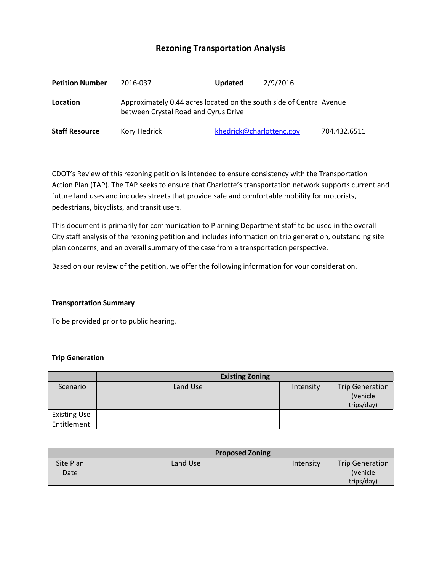# **Rezoning Transportation Analysis**

| <b>Petition Number</b> | 2016-037                                                                                                     | <b>Updated</b> | 2/9/2016                 |              |
|------------------------|--------------------------------------------------------------------------------------------------------------|----------------|--------------------------|--------------|
| Location               | Approximately 0.44 acres located on the south side of Central Avenue<br>between Crystal Road and Cyrus Drive |                |                          |              |
| <b>Staff Resource</b>  | Kory Hedrick                                                                                                 |                | khedrick@charlottenc.gov | 704.432.6511 |

CDOT's Review of this rezoning petition is intended to ensure consistency with the Transportation Action Plan (TAP). The TAP seeks to ensure that Charlotte's transportation network supports current and future land uses and includes streets that provide safe and comfortable mobility for motorists, pedestrians, bicyclists, and transit users.

This document is primarily for communication to Planning Department staff to be used in the overall City staff analysis of the rezoning petition and includes information on trip generation, outstanding site plan concerns, and an overall summary of the case from a transportation perspective.

Based on our review of the petition, we offer the following information for your consideration.

#### **Transportation Summary**

To be provided prior to public hearing.

#### **Trip Generation**

|                     | <b>Existing Zoning</b> |           |                                                  |
|---------------------|------------------------|-----------|--------------------------------------------------|
| Scenario            | Land Use               | Intensity | <b>Trip Generation</b><br>(Vehicle<br>trips/day) |
| <b>Existing Use</b> |                        |           |                                                  |
| Entitlement         |                        |           |                                                  |

|                   | <b>Proposed Zoning</b> |           |                                                  |  |
|-------------------|------------------------|-----------|--------------------------------------------------|--|
| Site Plan<br>Date | Land Use               | Intensity | <b>Trip Generation</b><br>(Vehicle<br>trips/day) |  |
|                   |                        |           |                                                  |  |
|                   |                        |           |                                                  |  |
|                   |                        |           |                                                  |  |